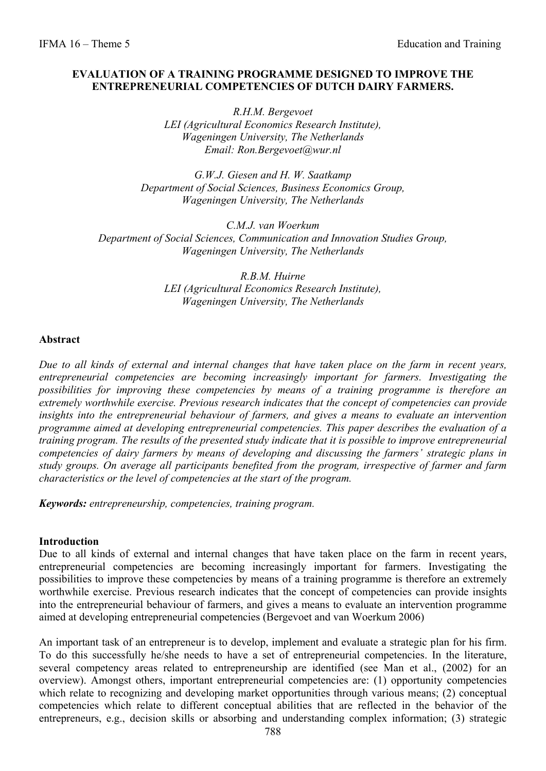### **EVALUATION OF A TRAINING PROGRAMME DESIGNED TO IMPROVE THE ENTREPRENEURIAL COMPETENCIES OF DUTCH DAIRY FARMERS.**

*R.H.M. Bergevoet LEI (Agricultural Economics Research Institute), Wageningen University, The Netherlands Email: Ron.Bergevoet@wur.nl* 

*G.W.J. Giesen and H. W. Saatkamp Department of Social Sciences, Business Economics Group, Wageningen University, The Netherlands* 

*C.M.J. van Woerkum Department of Social Sciences, Communication and Innovation Studies Group, Wageningen University, The Netherlands* 

> *R.B.M. Huirne LEI (Agricultural Economics Research Institute), Wageningen University, The Netherlands*

#### **Abstract**

*Due to all kinds of external and internal changes that have taken place on the farm in recent years, entrepreneurial competencies are becoming increasingly important for farmers. Investigating the possibilities for improving these competencies by means of a training programme is therefore an extremely worthwhile exercise. Previous research indicates that the concept of competencies can provide insights into the entrepreneurial behaviour of farmers, and gives a means to evaluate an intervention programme aimed at developing entrepreneurial competencies. This paper describes the evaluation of a training program. The results of the presented study indicate that it is possible to improve entrepreneurial competencies of dairy farmers by means of developing and discussing the farmers' strategic plans in study groups. On average all participants benefited from the program, irrespective of farmer and farm characteristics or the level of competencies at the start of the program.* 

*Keywords: entrepreneurship, competencies, training program.* 

#### **Introduction**

Due to all kinds of external and internal changes that have taken place on the farm in recent years, entrepreneurial competencies are becoming increasingly important for farmers. Investigating the possibilities to improve these competencies by means of a training programme is therefore an extremely worthwhile exercise. Previous research indicates that the concept of competencies can provide insights into the entrepreneurial behaviour of farmers, and gives a means to evaluate an intervention programme aimed at developing entrepreneurial competencies (Bergevoet and van Woerkum 2006)

An important task of an entrepreneur is to develop, implement and evaluate a strategic plan for his firm. To do this successfully he/she needs to have a set of entrepreneurial competencies. In the literature, several competency areas related to entrepreneurship are identified (see Man et al., (2002) for an overview). Amongst others, important entrepreneurial competencies are: (1) opportunity competencies which relate to recognizing and developing market opportunities through various means; (2) conceptual competencies which relate to different conceptual abilities that are reflected in the behavior of the entrepreneurs, e.g., decision skills or absorbing and understanding complex information; (3) strategic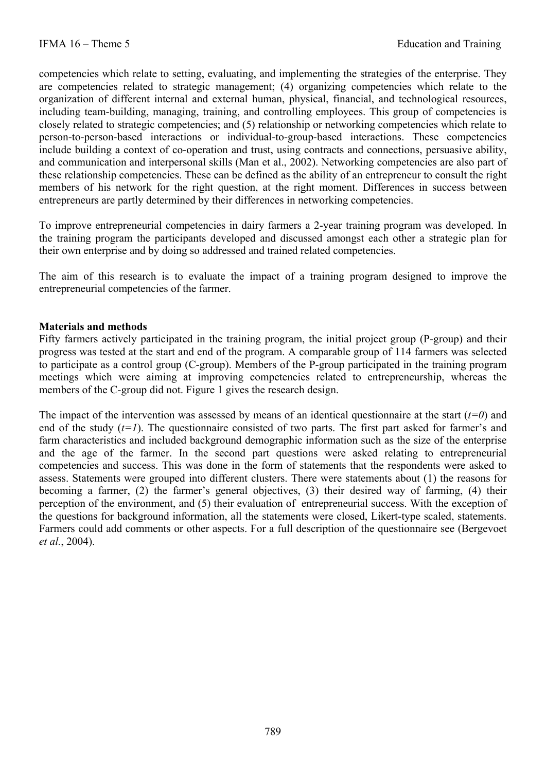competencies which relate to setting, evaluating, and implementing the strategies of the enterprise. They are competencies related to strategic management; (4) organizing competencies which relate to the organization of different internal and external human, physical, financial, and technological resources, including team-building, managing, training, and controlling employees. This group of competencies is closely related to strategic competencies; and (5) relationship or networking competencies which relate to person-to-person-based interactions or individual-to-group-based interactions. These competencies include building a context of co-operation and trust, using contracts and connections, persuasive ability, and communication and interpersonal skills (Man et al., 2002). Networking competencies are also part of these relationship competencies. These can be defined as the ability of an entrepreneur to consult the right members of his network for the right question, at the right moment. Differences in success between entrepreneurs are partly determined by their differences in networking competencies.

To improve entrepreneurial competencies in dairy farmers a 2-year training program was developed. In the training program the participants developed and discussed amongst each other a strategic plan for their own enterprise and by doing so addressed and trained related competencies.

The aim of this research is to evaluate the impact of a training program designed to improve the entrepreneurial competencies of the farmer.

## **Materials and methods**

Fifty farmers actively participated in the training program, the initial project group (P-group) and their progress was tested at the start and end of the program. A comparable group of 114 farmers was selected to participate as a control group (C-group). Members of the P-group participated in the training program meetings which were aiming at improving competencies related to entrepreneurship, whereas the members of the C-group did not. Figure 1 gives the research design.

The impact of the intervention was assessed by means of an identical questionnaire at the start  $(t=0)$  and end of the study  $(t=1)$ . The questionnaire consisted of two parts. The first part asked for farmer's and farm characteristics and included background demographic information such as the size of the enterprise and the age of the farmer. In the second part questions were asked relating to entrepreneurial competencies and success. This was done in the form of statements that the respondents were asked to assess. Statements were grouped into different clusters. There were statements about (1) the reasons for becoming a farmer, (2) the farmer's general objectives, (3) their desired way of farming, (4) their perception of the environment, and (5) their evaluation of entrepreneurial success. With the exception of the questions for background information, all the statements were closed, Likert-type scaled, statements. Farmers could add comments or other aspects. For a full description of the questionnaire see (Bergevoet *et al.*, 2004).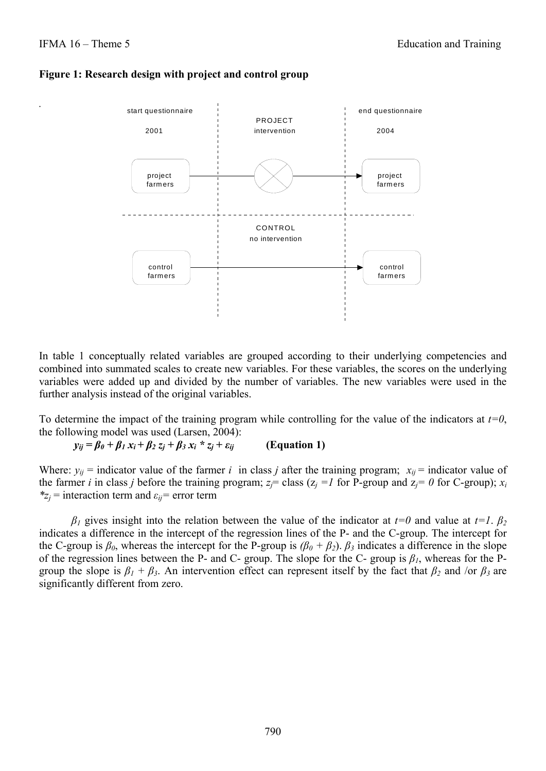*.* 





In table 1 conceptually related variables are grouped according to their underlying competencies and combined into summated scales to create new variables. For these variables, the scores on the underlying variables were added up and divided by the number of variables. The new variables were used in the further analysis instead of the original variables.

To determine the impact of the training program while controlling for the value of the indicators at *t=0*, the following model was used (Larsen, 2004):

 $y_{ij} = \beta_0 + \beta_1 x_i + \beta_2 z_j + \beta_3 x_i \cdot z_j + \varepsilon_{ij}$  (Equation 1)

Where:  $y_{ij}$  = indicator value of the farmer *i* in class *j* after the training program;  $x_{ij}$  = indicator value of the farmer *i* in class *j* before the training program;  $z_i$  class ( $z_i$  = *l* for P-group and  $z_i$  = 0 for C-group);  $x_i$ *\*zj* = interaction term and *εij=* error term

*β*<sub>*I*</sub> gives insight into the relation between the value of the indicator at  $t=0$  and value at  $t=1$ . *β*<sup>2</sup> indicates a difference in the intercept of the regression lines of the P- and the C-group. The intercept for the C-group is  $\beta_0$ , whereas the intercept for the P-group is  $(\beta_0 + \beta_2)$ .  $\beta_3$  indicates a difference in the slope of the regression lines between the P- and C- group. The slope for the C- group is *β1*, whereas for the Pgroup the slope is  $\beta_1 + \beta_2$ . An intervention effect can represent itself by the fact that  $\beta_2$  and /or  $\beta_3$  are significantly different from zero.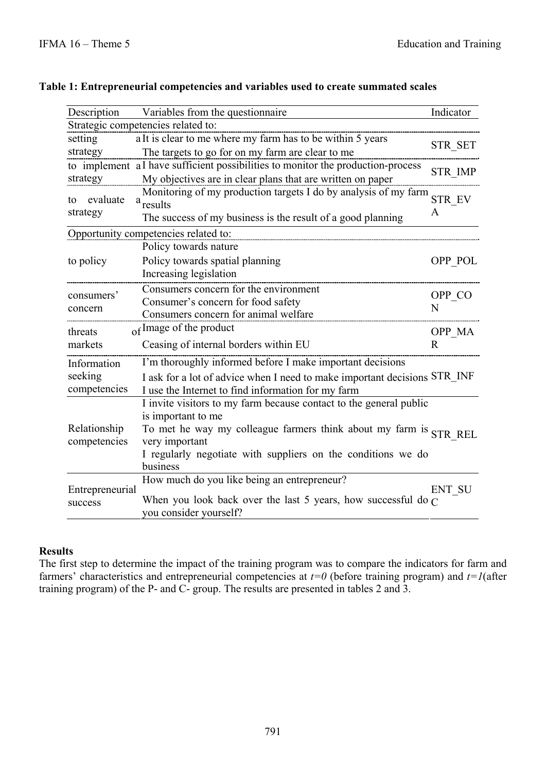| Description                  | Variables from the questionnaire                                                                                                | Indicator      |  |  |  |  |
|------------------------------|---------------------------------------------------------------------------------------------------------------------------------|----------------|--|--|--|--|
|                              | Strategic competencies related to:                                                                                              |                |  |  |  |  |
| setting                      | a It is clear to me where my farm has to be within 5 years<br>STR_SET                                                           |                |  |  |  |  |
| strategy                     | The targets to go for on my farm are clear to me                                                                                |                |  |  |  |  |
|                              | to implement a I have sufficient possibilities to monitor the production-process                                                | <b>STR_IMP</b> |  |  |  |  |
| strategy                     | My objectives are in clear plans that are written on paper                                                                      |                |  |  |  |  |
| evaluate<br>to               | Monitoring of my production targets I do by analysis of my farm<br>STR EV<br>a <sub>results</sub>                               |                |  |  |  |  |
| strategy                     | The success of my business is the result of a good planning                                                                     | A              |  |  |  |  |
|                              | Opportunity competencies related to:                                                                                            |                |  |  |  |  |
|                              | Policy towards nature                                                                                                           |                |  |  |  |  |
| to policy                    | Policy towards spatial planning<br>Increasing legislation                                                                       | OPP_POL        |  |  |  |  |
| consumers'<br>concern        | Consumers concern for the environment<br>Consumer's concern for food safety<br>Consumers concern for animal welfare             | OPP CO<br>N    |  |  |  |  |
| threats                      | of Image of the product                                                                                                         | OPP MA         |  |  |  |  |
| markets                      | Ceasing of internal borders within EU                                                                                           | R              |  |  |  |  |
| Information                  | I'm thoroughly informed before I make important decisions                                                                       |                |  |  |  |  |
| seeking<br>competencies      | I ask for a lot of advice when I need to make important decisions STR_INF<br>I use the Internet to find information for my farm |                |  |  |  |  |
|                              | I invite visitors to my farm because contact to the general public                                                              |                |  |  |  |  |
| Relationship<br>competencies | is important to me                                                                                                              |                |  |  |  |  |
|                              | To met he way my colleague farmers think about my farm is STR REL                                                               |                |  |  |  |  |
|                              | very important                                                                                                                  |                |  |  |  |  |
|                              | I regularly negotiate with suppliers on the conditions we do                                                                    |                |  |  |  |  |
|                              | business                                                                                                                        |                |  |  |  |  |
| Entrepreneurial              | How much do you like being an entrepreneur?                                                                                     | ENT SU         |  |  |  |  |
| success                      | When you look back over the last 5 years, how successful do $\alpha$                                                            |                |  |  |  |  |
|                              | you consider yourself?                                                                                                          |                |  |  |  |  |

# **Table 1: Entrepreneurial competencies and variables used to create summated scales**

## **Results**

The first step to determine the impact of the training program was to compare the indicators for farm and farmers' characteristics and entrepreneurial competencies at *t=0* (before training program) and *t=1*(after training program) of the P- and C- group. The results are presented in tables 2 and 3.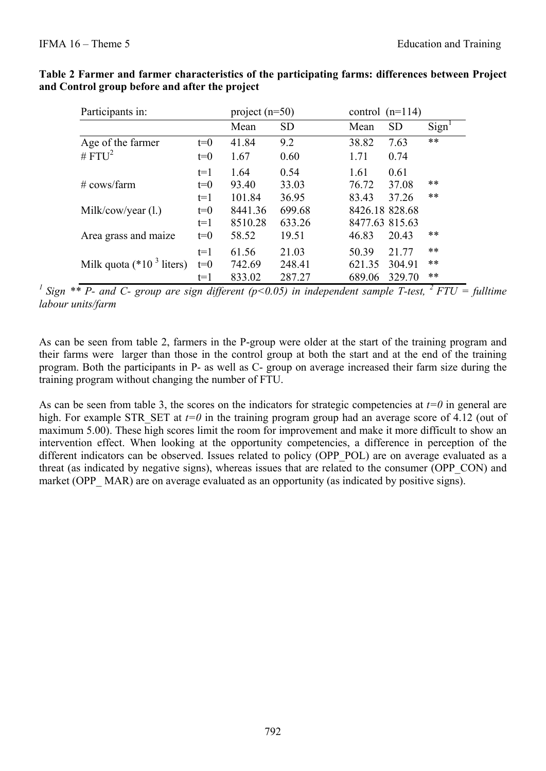| Participants in:            |       | project $(n=50)$ |           |                | control $(n=114)$ |                   |
|-----------------------------|-------|------------------|-----------|----------------|-------------------|-------------------|
|                             |       | Mean             | <b>SD</b> | Mean           | <b>SD</b>         | Sign <sup>1</sup> |
| Age of the farmer           | $t=0$ | 41.84            | 9.2       | 38.82          | 7.63              | $***$             |
| # $FTU^2$                   | $t=0$ | 1.67             | 0.60      | 1.71           | 0.74              |                   |
|                             | $t=1$ | 1.64             | 0.54      | 1.61           | 0.61              |                   |
| $\#$ cows/farm              | $t=0$ | 93.40            | 33.03     | 76.72          | 37.08             | $***$             |
|                             | $t=1$ | 101.84           | 36.95     | 83.43          | 37.26             | $***$             |
| Milk/cow/year $(l.)$        | $t=0$ | 8441.36          | 699.68    | 8426.18 828.68 |                   |                   |
|                             | $t=1$ | 8510.28          | 633.26    | 8477.63 815.63 |                   |                   |
| Area grass and maize        | $t=0$ | 58.52            | 19.51     | 46.83          | 20.43             | **                |
|                             | $t=1$ | 61.56            | 21.03     | 50.39          | 21.77             | $***$             |
| Milk quota ( $*103$ liters) | $t=0$ | 742.69           | 248.41    | 621.35         | 304.91            | $***$             |
|                             | $t=1$ | 833.02           | 287.27    | 689.06         | 329.70            | **                |

# **Table 2 Farmer and farmer characteristics of the participating farms: differences between Project and Control group before and after the project**

<sup>1</sup> Sign \*\* P- and C- group are sign different ( $p$ <0.05) in independent sample T-test, <sup>2</sup> FTU = fulltime *labour units/farm* 

As can be seen from table 2, farmers in the P-group were older at the start of the training program and their farms were larger than those in the control group at both the start and at the end of the training program. Both the participants in P- as well as C- group on average increased their farm size during the training program without changing the number of FTU.

As can be seen from table 3, the scores on the indicators for strategic competencies at  $t=0$  in general are high. For example STR\_SET at *t=0* in the training program group had an average score of 4.12 (out of maximum 5.00). These high scores limit the room for improvement and make it more difficult to show an intervention effect. When looking at the opportunity competencies, a difference in perception of the different indicators can be observed. Issues related to policy (OPP\_POL) are on average evaluated as a threat (as indicated by negative signs), whereas issues that are related to the consumer (OPP\_CON) and market (OPP MAR) are on average evaluated as an opportunity (as indicated by positive signs).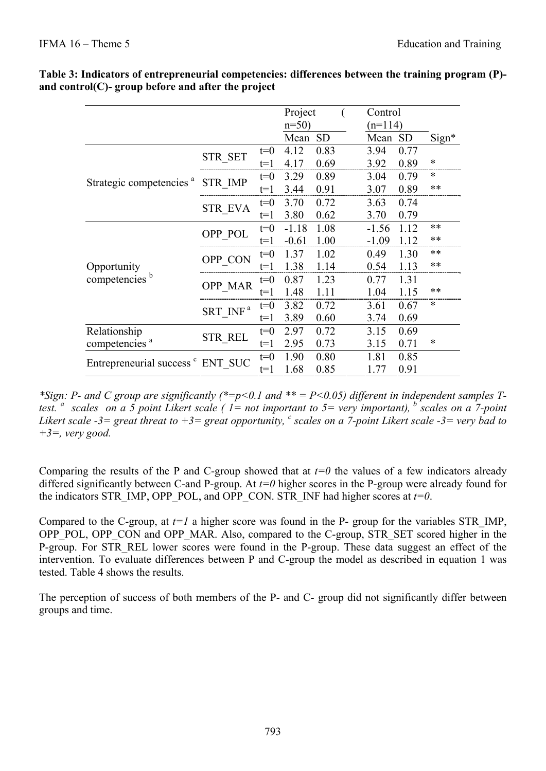|                                              |                      | Project |         | Control   |           |           |        |
|----------------------------------------------|----------------------|---------|---------|-----------|-----------|-----------|--------|
|                                              |                      |         | $n=50$  |           | $(n=114)$ |           |        |
|                                              |                      |         | Mean    | <b>SD</b> | Mean      | <b>SD</b> | Sign*  |
|                                              | <b>STR SET</b>       | $t=0$   | 4.12    | 0.83      | 3.94      | 0.77      |        |
|                                              |                      | t=1     | 4.17    | 0.69      | 3.92      | 0.89      | $\ast$ |
|                                              | <b>STR IMP</b>       | $t=0$   | 3.29    | 0.89      | 3.04      | 0.79      | $\ast$ |
| Strategic competencies <sup>a</sup>          |                      | t=1     | 3.44    | 0.91      | 3.07      | 0.89      | **     |
|                                              | <b>STR EVA</b>       | $t=0$   | 3.70    | 0.72      | 3.63      | 0.74      |        |
|                                              |                      | $t=1$   | 3.80    | 0.62      | 3.70      | 0.79      |        |
|                                              |                      | $t=0$   | $-1.18$ | 1.08      | $-1.56$   | 1.12      | **     |
|                                              | OPP POL              | t=1     | $-0.61$ | 1.00      | $-1.09$   | 1.12      | $***$  |
|                                              | OPP CON              | $t=0$   | 1.37    | 1.02      | 0.49      | 1.30      | $***$  |
| Opportunity                                  |                      | t=1     | 1.38    | 1.14      | 0.54      | 1.13      | **     |
| competencies <sup>b</sup>                    | <b>OPP MAR</b>       | $t=0$   | 0.87    | 1.23      | 0.77      | 1.31      |        |
|                                              |                      | t=1     | 1.48    | 1.11      | 1.04      | 1.15      | **     |
|                                              | SRT INF <sup>a</sup> | $t=0$   | 3.82    | 0.72      | 3.61      | 0.67      | *      |
|                                              |                      | t=1     | 3.89    | 0.60      | 3.74      | 0.69      |        |
| Relationship                                 |                      | $t=0$   | 2.97    | 0.72      | 3.15      | 0.69      |        |
| competencies <sup>a</sup>                    | <b>STR REL</b>       | $t=1$   | 2.95    | 0.73      | 3.15      | 0.71      | $\ast$ |
|                                              |                      | $t=0$   | 1.90    | 0.80      | 1.81      | 0.85      |        |
| Entrepreneurial success <sup>c</sup> ENT SUC |                      | t=1     | 1.68    | 0.85      | 1.77      | 0.91      |        |

#### **Table 3: Indicators of entrepreneurial competencies: differences between the training program (P) and control(C)- group before and after the project**

*\*Sign: P- and C group are significantly (\*=p<0.1 and \*\* = P<0.05) different in independent samples Ttest. <sup>a</sup> scales on a 5 point Likert scale ( 1= not important to 5= very important), b scales on a 7-point*  Likert scale  $-3$  = great threat to  $+3$  = great opportunity, <sup>*c*</sup> scales on a 7-point Likert scale  $-3$  = very bad to *+3=, very good.* 

Comparing the results of the P and C-group showed that at  $t=0$  the values of a few indicators already differed significantly between C-and P-group. At *t=0* higher scores in the P-group were already found for the indicators STR\_IMP, OPP\_POL, and OPP\_CON. STR\_INF had higher scores at  $t=0$ .

Compared to the C-group, at  $t=1$  a higher score was found in the P- group for the variables STR IMP, OPP\_POL, OPP\_CON and OPP\_MAR. Also, compared to the C-group, STR\_SET scored higher in the P-group. For STR REL lower scores were found in the P-group. These data suggest an effect of the intervention. To evaluate differences between P and C-group the model as described in equation 1 was tested. Table 4 shows the results.

The perception of success of both members of the P- and C- group did not significantly differ between groups and time.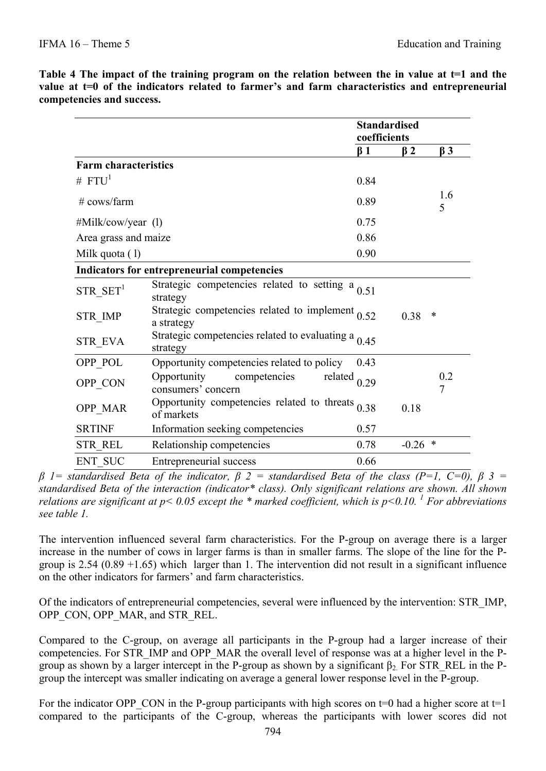|                             |                                                                      | <b>Standardised</b><br>coefficients |           |                       |
|-----------------------------|----------------------------------------------------------------------|-------------------------------------|-----------|-----------------------|
|                             |                                                                      | $\beta$ 1                           | $\beta$ 2 | $\beta$ 3             |
| <b>Farm characteristics</b> |                                                                      |                                     |           |                       |
| # $FTU1$                    |                                                                      | 0.84                                |           |                       |
| $#$ cows/farm               |                                                                      | 0.89                                |           | 1.6<br>5              |
| #Milk/cow/year (1)          |                                                                      | 0.75                                |           |                       |
| Area grass and maize        |                                                                      | 0.86                                |           |                       |
| Milk quota (1)              |                                                                      | 0.90                                |           |                       |
|                             | Indicators for entrepreneurial competencies                          |                                     |           |                       |
| $STR$ <sub>_</sub> $SET1$   | Strategic competencies related to setting $a_{0.51}$<br>strategy     |                                     |           |                       |
| <b>STR IMP</b>              | Strategic competencies related to implement $_{0.52}$<br>a strategy  |                                     | 0.38      | $\ast$                |
| <b>STR EVA</b>              | Strategic competencies related to evaluating a $_{0.45}$<br>strategy |                                     |           |                       |
| OPP POL                     | Opportunity competencies related to policy                           | 0.43                                |           |                       |
| OPP_CON                     | Opportunity<br>competencies<br>consumers' concern                    | related $_{0.29}$                   |           | 0.2<br>$\overline{7}$ |
| OPP_MAR                     | Opportunity competencies related to threats $0.38$<br>of markets     |                                     | 0.18      |                       |
| <b>SRTINF</b>               | Information seeking competencies                                     | 0.57                                |           |                       |
| <b>STR REL</b>              | Relationship competencies                                            | 0.78                                | $-0.26$ * |                       |
| <b>ENT SUC</b>              | <b>Entrepreneurial success</b>                                       | 0.66                                |           |                       |

**Table 4 The impact of the training program on the relation between the in value at t=1 and the**  value at t=0 of the indicators related to farmer's and farm characteristics and entrepreneurial **competencies and success.** 

*β 1= standardised Beta of the indicator, β 2 = standardised Beta of the class (P=1, C=0), β 3 = standardised Beta of the interaction (indicator\* class). Only significant relations are shown. All shown relations are significant at p< 0.05 except the \* marked coefficient, which is p<0.10. <sup>1</sup> For abbreviations see table 1.* 

The intervention influenced several farm characteristics. For the P-group on average there is a larger increase in the number of cows in larger farms is than in smaller farms. The slope of the line for the Pgroup is  $2.54$  (0.89 +1.65) which larger than 1. The intervention did not result in a significant influence on the other indicators for farmers' and farm characteristics.

Of the indicators of entrepreneurial competencies, several were influenced by the intervention: STR\_IMP, OPP\_CON, OPP\_MAR, and STR\_REL.

Compared to the C-group, on average all participants in the P-group had a larger increase of their competencies. For STR\_IMP and OPP\_MAR the overall level of response was at a higher level in the Pgroup as shown by a larger intercept in the P-group as shown by a significant  $\beta_2$ . For STR\_REL in the Pgroup the intercept was smaller indicating on average a general lower response level in the P-group.

For the indicator OPP\_CON in the P-group participants with high scores on  $t=0$  had a higher score at  $t=1$ compared to the participants of the C-group, whereas the participants with lower scores did not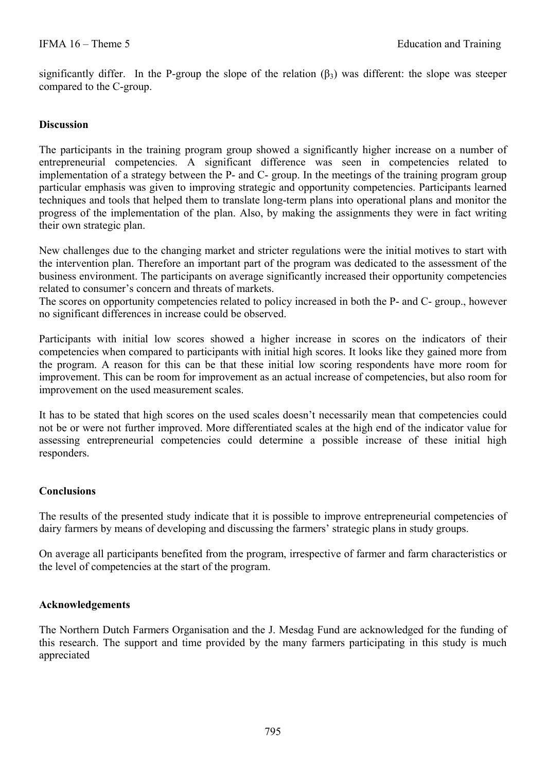significantly differ. In the P-group the slope of the relation  $(\beta_3)$  was different: the slope was steeper compared to the C-group.

#### **Discussion**

The participants in the training program group showed a significantly higher increase on a number of entrepreneurial competencies. A significant difference was seen in competencies related to implementation of a strategy between the P- and C- group. In the meetings of the training program group particular emphasis was given to improving strategic and opportunity competencies. Participants learned techniques and tools that helped them to translate long-term plans into operational plans and monitor the progress of the implementation of the plan. Also, by making the assignments they were in fact writing their own strategic plan.

New challenges due to the changing market and stricter regulations were the initial motives to start with the intervention plan. Therefore an important part of the program was dedicated to the assessment of the business environment. The participants on average significantly increased their opportunity competencies related to consumer's concern and threats of markets.

The scores on opportunity competencies related to policy increased in both the P- and C- group., however no significant differences in increase could be observed.

Participants with initial low scores showed a higher increase in scores on the indicators of their competencies when compared to participants with initial high scores. It looks like they gained more from the program. A reason for this can be that these initial low scoring respondents have more room for improvement. This can be room for improvement as an actual increase of competencies, but also room for improvement on the used measurement scales.

It has to be stated that high scores on the used scales doesn't necessarily mean that competencies could not be or were not further improved. More differentiated scales at the high end of the indicator value for assessing entrepreneurial competencies could determine a possible increase of these initial high responders.

## **Conclusions**

The results of the presented study indicate that it is possible to improve entrepreneurial competencies of dairy farmers by means of developing and discussing the farmers' strategic plans in study groups.

On average all participants benefited from the program, irrespective of farmer and farm characteristics or the level of competencies at the start of the program.

#### **Acknowledgements**

The Northern Dutch Farmers Organisation and the J. Mesdag Fund are acknowledged for the funding of this research. The support and time provided by the many farmers participating in this study is much appreciated